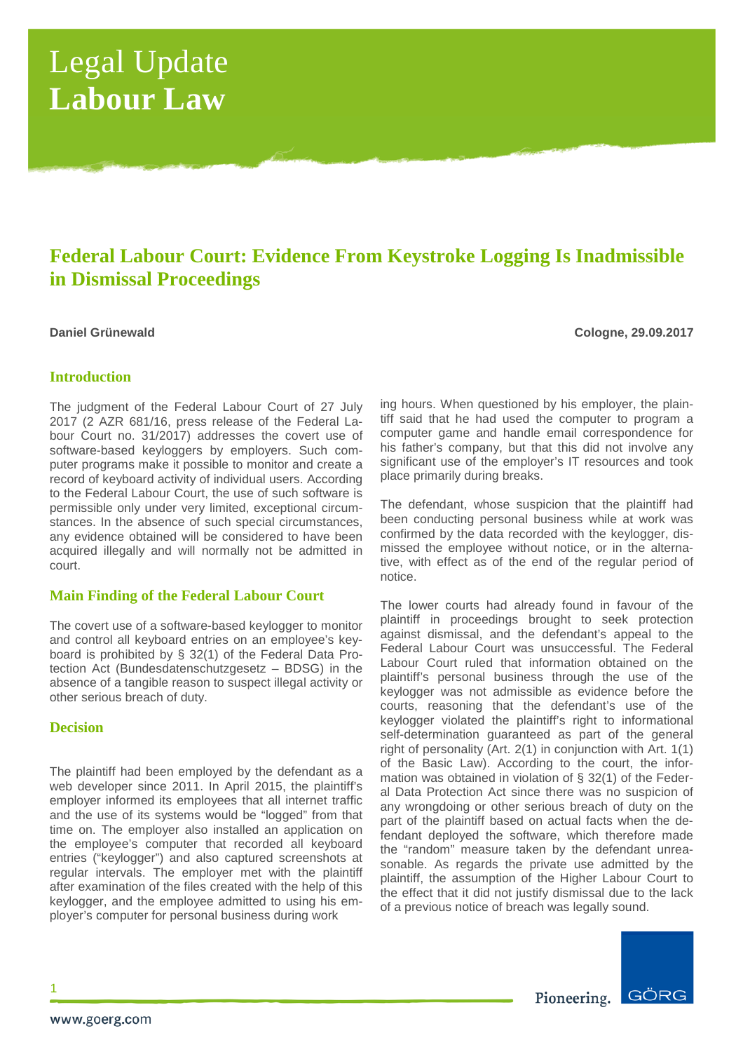# Legal Update **Labour Law**

# **Federal Labour Court: Evidence From Keystroke Logging Is Inadmissible in Dismissal Proceedings**

**Daniel Grünewald Cologne, 29.09.2017**

# **Introduction**

The judgment of the Federal Labour Court of 27 July 2017 (2 AZR 681/16, press release of the Federal Labour Court no. 31/2017) addresses the covert use of software-based keyloggers by employers. Such computer programs make it possible to monitor and create a record of keyboard activity of individual users. According to the Federal Labour Court, the use of such software is permissible only under very limited, exceptional circumstances. In the absence of such special circumstances, any evidence obtained will be considered to have been acquired illegally and will normally not be admitted in court.

# **Main Finding of the Federal Labour Court**

The covert use of a software-based keylogger to monitor and control all keyboard entries on an employee's keyboard is prohibited by § 32(1) of the Federal Data Protection Act (Bundesdatenschutzgesetz – BDSG) in the absence of a tangible reason to suspect illegal activity or other serious breach of duty.

# **Decision**

The plaintiff had been employed by the defendant as a web developer since 2011. In April 2015, the plaintiff's employer informed its employees that all internet traffic and the use of its systems would be "logged" from that time on. The employer also installed an application on the employee's computer that recorded all keyboard entries ("keylogger") and also captured screenshots at regular intervals. The employer met with the plaintiff after examination of the files created with the help of this keylogger, and the employee admitted to using his employer's computer for personal business during work

ing hours. When questioned by his employer, the plaintiff said that he had used the computer to program a computer game and handle email correspondence for his father's company, but that this did not involve any significant use of the employer's IT resources and took place primarily during breaks.

The defendant, whose suspicion that the plaintiff had been conducting personal business while at work was confirmed by the data recorded with the keylogger, dismissed the employee without notice, or in the alternative, with effect as of the end of the regular period of notice.

The lower courts had already found in favour of the plaintiff in proceedings brought to seek protection against dismissal, and the defendant's appeal to the Federal Labour Court was unsuccessful. The Federal Labour Court ruled that information obtained on the plaintiff's personal business through the use of the keylogger was not admissible as evidence before the courts, reasoning that the defendant's use of the keylogger violated the plaintiff's right to informational self-determination guaranteed as part of the general right of personality (Art. 2(1) in conjunction with Art. 1(1) of the Basic Law). According to the court, the information was obtained in violation of § 32(1) of the Federal Data Protection Act since there was no suspicion of any wrongdoing or other serious breach of duty on the part of the plaintiff based on actual facts when the defendant deployed the software, which therefore made the "random" measure taken by the defendant unreasonable. As regards the private use admitted by the plaintiff, the assumption of the Higher Labour Court to the effect that it did not justify dismissal due to the lack of a previous notice of breach was legally sound.



1

Pioneering.